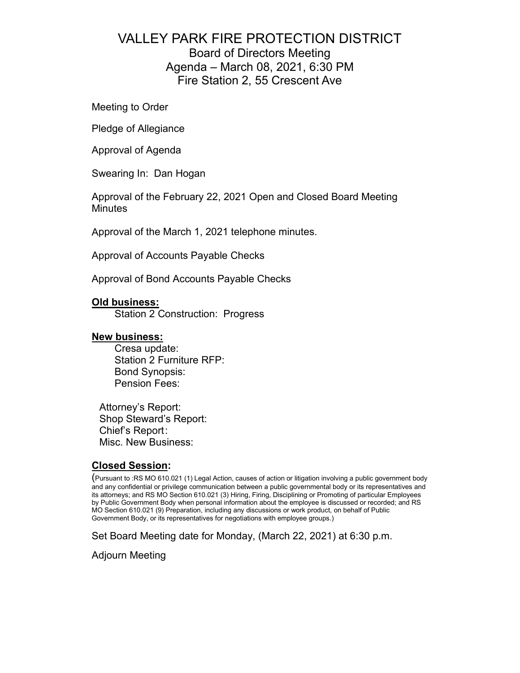## VALLEY PARK FIRE PROTECTION DISTRICT Board of Directors Meeting Agenda – March 08, 2021, 6:30 PM Fire Station 2, 55 Crescent Ave

Meeting to Order

Pledge of Allegiance

Approval of Agenda

Swearing In: Dan Hogan

Approval of the February 22, 2021 Open and Closed Board Meeting **Minutes** 

Approval of the March 1, 2021 telephone minutes.

Approval of Accounts Payable Checks

Approval of Bond Accounts Payable Checks

#### **Old business:**

Station 2 Construction: Progress

#### **New business:**

Cresa update: Station 2 Furniture RFP: Bond Synopsis: Pension Fees:

Attorney's Report: Shop Steward's Report: Chief's Report : Misc. New Business:

#### **Closed Session:**

(Pursuant to :RS MO 610.021 (1) Legal Action, causes of action or litigation involving a public government body and any confidential or privilege communication between a public governmental body or its representatives and its attorneys; and RS MO Section 610.021 (3) Hiring, Firing, Disciplining or Promoting of particular Employees by Public Government Body when personal information about the employee is discussed or recorded; and RS MO Section 610.021 (9) Preparation, including any discussions or work product, on behalf of Public Government Body, or its representatives for negotiations with employee groups.)

Set Board Meeting date for Monday, (March 22, 2021) at 6:30 p.m.

Adjourn Meeting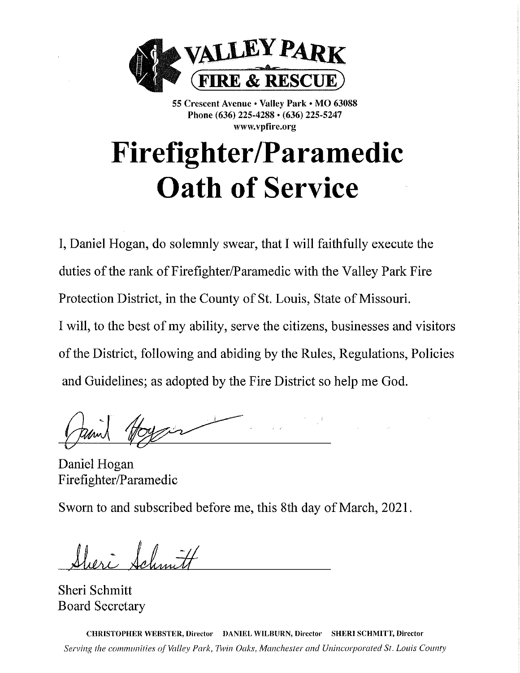

55 Crescent Avenue • Valley Park • MO 63088 Phone (636) 225-4288 · (636) 225-5247 www.vpfire.org

# **Firefighter/Paramedic Oath of Service**

I, Daniel Hogan, do solemnly swear, that I will faithfully execute the duties of the rank of Firefighter/Paramedic with the Valley Park Fire Protection District, in the County of St. Louis, State of Missouri. I will, to the best of my ability, serve the citizens, businesses and visitors of the District, following and abiding by the Rules, Regulations, Policies and Guidelines; as adopted by the Fire District so help me God.

Daniel Hogan Firefighter/Paramedic

Sworn to and subscribed before me, this 8th day of March, 2021.

Hieri Salmitt

Sheri Schmitt **Board Secretary** 

CHRISTOPHER WEBSTER, Director DANIEL WILBURN, Director SHERI SCHMITT, Director Serving the communities of Valley Park, Twin Oaks, Manchester and Unincorporated St. Louis County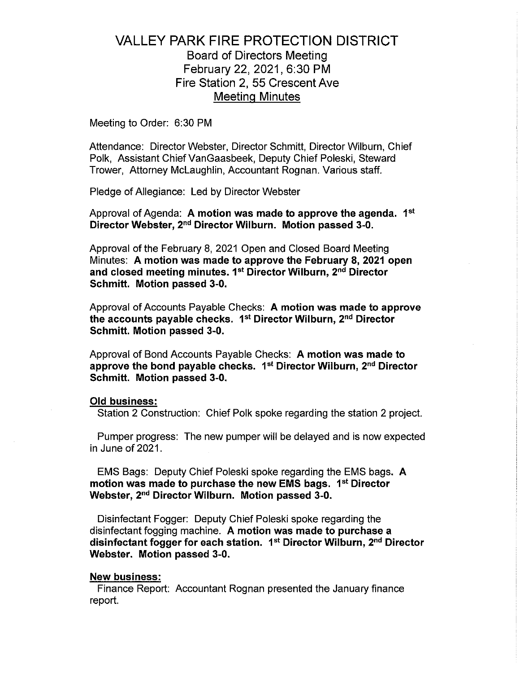### **VALLEY PARK FIRE PROTECTION DISTRICT Board of Directors Meeting** February 22, 2021, 6:30 PM Fire Station 2, 55 Crescent Ave **Meeting Minutes**

Meeting to Order: 6:30 PM

Attendance: Director Webster, Director Schmitt, Director Wilburn, Chief Polk, Assistant Chief VanGaasbeek, Deputy Chief Poleski, Steward Trower. Attorney McLaughlin, Accountant Rognan, Various staff.

Pledge of Allegiance: Led by Director Webster

Approval of Agenda: A motion was made to approve the agenda. 1<sup>st</sup> Director Webster, 2<sup>nd</sup> Director Wilburn. Motion passed 3-0.

Approval of the February 8, 2021 Open and Closed Board Meeting Minutes: A motion was made to approve the February 8, 2021 open and closed meeting minutes. 1<sup>st</sup> Director Wilburn. 2<sup>nd</sup> Director Schmitt. Motion passed 3-0.

Approval of Accounts Payable Checks: A motion was made to approve the accounts payable checks. 1<sup>st</sup> Director Wilburn, 2<sup>nd</sup> Director Schmitt. Motion passed 3-0.

Approval of Bond Accounts Pavable Checks: A motion was made to approve the bond payable checks. 1<sup>st</sup> Director Wilburn, 2<sup>nd</sup> Director Schmitt. Motion passed 3-0.

#### **Old business:**

Station 2 Construction: Chief Polk spoke regarding the station 2 project.

Pumper progress: The new pumper will be delayed and is now expected in June of 2021.

EMS Bags: Deputy Chief Poleski spoke regarding the EMS bags. A motion was made to purchase the new EMS bags. 1<sup>st</sup> Director Webster, 2<sup>nd</sup> Director Wilburn. Motion passed 3-0.

Disinfectant Fogger: Deputy Chief Poleski spoke regarding the disinfectant fogging machine. A motion was made to purchase a disinfectant fogger for each station. 1<sup>st</sup> Director Wilburn, 2<sup>nd</sup> Director Webster. Motion passed 3-0.

#### **New business:**

Finance Report: Accountant Rognan presented the January finance report.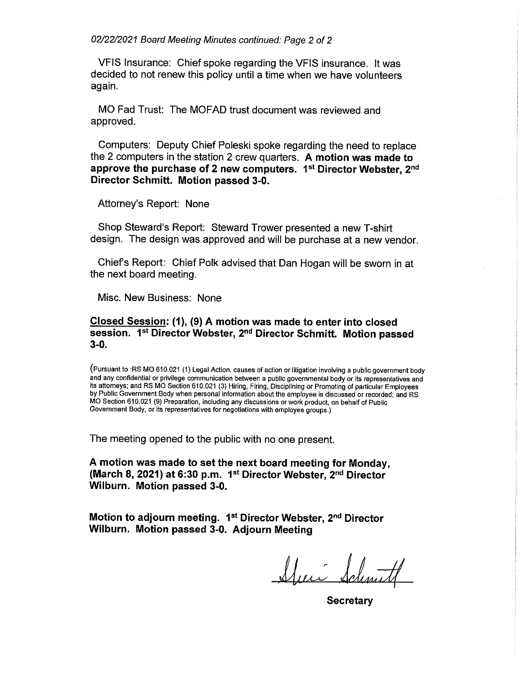02/22/2021 Board Meeting Minutes continued: Page 2 of 2

VFIS Insurance: Chief spoke regarding the VFIS insurance. It was decided to not renew this policy until a time when we have volunteers again.

MO Fad Trust: The MOFAD trust document was reviewed and approved.

Computers: Deputy Chief Poleski spoke regarding the need to replace the 2 computers in the station 2 crew quarters. A motion was made to approve the purchase of 2 new computers. 1<sup>st</sup> Director Webster, 2<sup>nd</sup> Director Schmitt. Motion passed 3-0.

Attorney's Report: None

Shop Steward's Report: Steward Trower presented a new T-shirt design. The design was approved and will be purchase at a new vendor.

Chief's Report: Chief Polk advised that Dan Hogan will be sworn in at the next board meeting.

Misc. New Business: None

#### Closed Session: (1), (9) A motion was made to enter into closed session. 1st Director Webster, 2nd Director Schmitt. Motion passed  $3-0$ .

(Pursuant to :RS MO 610.021 (1) Legal Action, causes of action or litigation involving a public government body and any confidential or privilege communication between a public governmental body or its representatives and its attorneys; and RS MO Section 610.021 (3) Hiring, Firing, Disciplining or Promoting of particular Employees by Public Government Body when personal information about the employee is discussed or recorded; and RS MO Section 610.021 (9) Preparation, including any discussions or work product, on behalf of Public Government Body, or its representatives for negotiations with employee groups.)

The meeting opened to the public with no one present.

A motion was made to set the next board meeting for Monday. (March 8, 2021) at 6:30 p.m. 1st Director Webster, 2nd Director Wilburn. Motion passed 3-0.

Motion to adjourn meeting. 1<sup>st</sup> Director Webster, 2<sup>nd</sup> Director Wilburn. Motion passed 3-0. Adjourn Meeting

<u>Afini Sd</u>

Secretary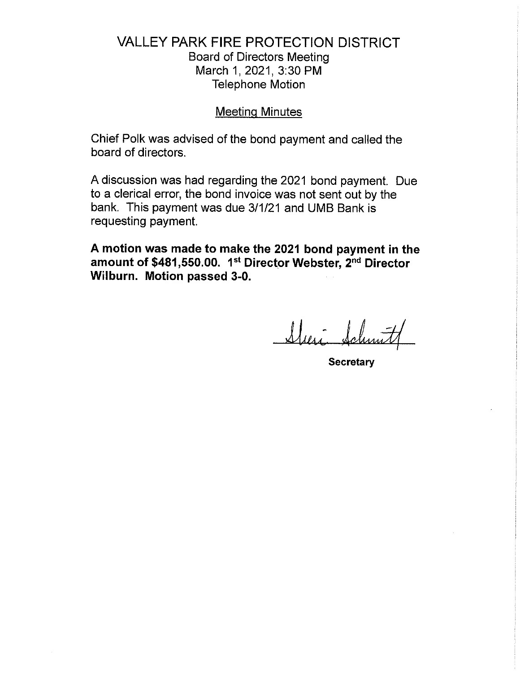## **VALLEY PARK FIRE PROTECTION DISTRICT**

**Board of Directors Meeting** March 1, 2021, 3:30 PM **Telephone Motion** 

#### **Meeting Minutes**

Chief Polk was advised of the bond payment and called the board of directors.

A discussion was had regarding the 2021 bond payment. Due to a clerical error, the bond invoice was not sent out by the bank. This payment was due 3/1/21 and UMB Bank is requesting payment.

A motion was made to make the 2021 bond payment in the amount of \$481,550.00. 1<sup>st</sup> Director Webster, 2<sup>nd</sup> Director Wilburn. Motion passed 3-0.

Sheri Schmit

**Secretary**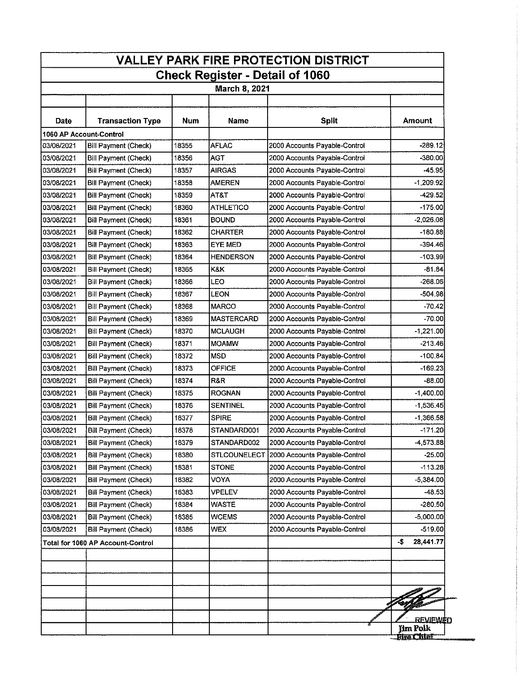| <b>VALLEY PARK FIRE PROTECTION DISTRICT</b>                    |                                   |       |                   |                               |                                                         |  |  |
|----------------------------------------------------------------|-----------------------------------|-------|-------------------|-------------------------------|---------------------------------------------------------|--|--|
| <b>Check Register - Detail of 1060</b><br><b>March 8, 2021</b> |                                   |       |                   |                               |                                                         |  |  |
|                                                                |                                   |       |                   |                               |                                                         |  |  |
| <b>Date</b>                                                    | <b>Transaction Type</b>           | Num   | Name              | <b>Split</b>                  | Amount                                                  |  |  |
|                                                                | 1060 AP Account-Control           |       |                   |                               |                                                         |  |  |
| 03/08/2021                                                     | Bill Payment (Check)              | 18355 | <b>AFLAC</b>      | 2000 Accounts Payable-Control | $-289.12$                                               |  |  |
| 03/08/2021                                                     | <b>Bill Payment (Check)</b>       | 18356 | AGT               | 2000 Accounts Payable-Control | -380.00                                                 |  |  |
| 03/08/2021                                                     | Bill Payment (Check)              | 18357 | <b>AIRGAS</b>     | 2000 Accounts Payable-Control | $-45.95$                                                |  |  |
| 03/08/2021                                                     | <b>Bill Payment (Check)</b>       | 18358 | <b>AMEREN</b>     | 2000 Accounts Payable-Control | -1,209.92                                               |  |  |
| 03/08/2021                                                     | Bill Payment (Check)              | 18359 | AT&T              | 2000 Accounts Payable-Control | $-429.52$                                               |  |  |
| 03/08/2021                                                     | Bill Payment (Check)              | 18360 | <b>ATHLETICO</b>  | 2000 Accounts Payable-Control | $-175.00$                                               |  |  |
| 03/08/2021                                                     | Bill Payment (Check)              | 18361 | <b>BOUND</b>      | 2000 Accounts Payable-Control | $-2.026.08$                                             |  |  |
| 03/08/2021                                                     | <b>Bill Payment (Check)</b>       | 18362 | <b>CHARTER</b>    | 2000 Accounts Payable-Control | $-180.88$                                               |  |  |
| 03/08/2021                                                     | <b>Bill Payment (Check)</b>       | 18363 | EYE MED           | 2000 Accounts Payable-Control | $-394.46$                                               |  |  |
| 03/08/2021                                                     | <b>Bill Payment (Check)</b>       | 18364 | <b>HENDERSON</b>  | 2000 Accounts Payable-Control | $-103.99$                                               |  |  |
| 03/08/2021                                                     | <b>Bill Payment (Check)</b>       | 18365 | K&K               | 2000 Accounts Payable-Control | $-81.84$                                                |  |  |
| 03/08/2021                                                     | Bill Payment (Check)              | 18366 | LEO               | 2000 Accounts Payable-Control | -268.06                                                 |  |  |
| 03/08/2021                                                     | <b>Bill Payment (Check)</b>       | 18367 | LEON              | 2000 Accounts Payable-Control | $-504.98$                                               |  |  |
| 03/08/2021                                                     | Bill Payment (Check)              | 18368 | MARCO             | 2000 Accounts Payable-Control | $-70.42$                                                |  |  |
| 03/08/2021                                                     | <b>Bill Payment (Check)</b>       | 18369 | <b>MASTERCARD</b> | 2000 Accounts Payable-Control | $-70.00$                                                |  |  |
| 03/08/2021                                                     | <b>Bill Payment (Check)</b>       | 18370 | <b>MCLAUGH</b>    | 2000 Accounts Payable-Control | $-1,221.00$                                             |  |  |
| 03/08/2021                                                     | <b>Bill Payment (Check)</b>       | 18371 | <b>MOAMW</b>      | 2000 Accounts Payable-Control | $-213.46$                                               |  |  |
| 03/08/2021                                                     | <b>Bill Payment (Check)</b>       | 18372 | <b>MSD</b>        | 2000 Accounts Payable-Control | $-100.84$                                               |  |  |
| 03/08/2021                                                     | <b>Bill Payment (Check)</b>       | 18373 | OFFICE            | 2000 Accounts Payable-Control | -169.23                                                 |  |  |
| 03/08/2021                                                     | <b>Bill Payment (Check)</b>       | 18374 | R&R               | 2000 Accounts Payable-Control | -88.00                                                  |  |  |
| 03/08/2021                                                     | <b>Bill Payment (Check)</b>       | 18375 | <b>ROGNAN</b>     | 2000 Accounts Payable-Control | $-1400.00$                                              |  |  |
| 03/08/2021                                                     | Bill Payment (Check)              | 18376 | <b>SENTINEL</b>   | 2000 Accounts Payable-Control | $-1.536.45$                                             |  |  |
| 03/08/2021                                                     | <b>Bill Payment (Check)</b>       | 18377 | <b>SPIRE</b>      | 2000 Accounts Payable-Control | -1 366.58                                               |  |  |
| 03/08/2021                                                     | Bill Payment (Check)              | 18378 | STANDARD001       | 2000 Accounts Payable-Control | $-171.20$                                               |  |  |
| 03/08/2021                                                     | <b>Bill Payment (Check)</b>       | 18379 | STANDARD002       | 2000 Accounts Payable-Control | -4,573.88                                               |  |  |
| 03/08/2021                                                     | <b>Bill Payment (Check)</b>       | 18380 | STLCOUNELECT      | 2000 Accounts Payable-Control | $-25.00$                                                |  |  |
| 03/08/2021                                                     | <b>Bill Payment (Check)</b>       | 18381 | <b>STONE</b>      | 2000 Accounts Payable-Control | $-113.28$                                               |  |  |
| 03/08/2021                                                     | <b>Bill Payment (Check)</b>       | 18382 | VOYA              | 2000 Accounts Payable-Control | $-5.384.00$                                             |  |  |
| 03/08/2021                                                     | Bill Payment (Check)              | 18383 | <b>VPELEV</b>     | 2000 Accounts Payable-Control | $-48.53$                                                |  |  |
| 03/08/2021                                                     | <b>Bill Payment (Check)</b>       | 18384 | <b>WASTE</b>      | 2000 Accounts Payable-Control | $-280.50$                                               |  |  |
|                                                                |                                   | 18385 | <b>WCEMS</b>      | 2000 Accounts Payable-Control |                                                         |  |  |
| 03/08/2021                                                     | Bill Payment (Check)              |       |                   |                               | $-5,000.00$<br>$-519.60$                                |  |  |
| 03/08/2021                                                     | Bill Payment (Check)              | 18386 | <b>WEX</b>        | 2000 Accounts Payable-Control |                                                         |  |  |
|                                                                | Total for 1060 AP Account-Control |       |                   |                               | 28,441.77<br>-\$                                        |  |  |
|                                                                |                                   |       |                   |                               |                                                         |  |  |
|                                                                |                                   |       |                   |                               |                                                         |  |  |
|                                                                |                                   |       |                   |                               |                                                         |  |  |
|                                                                |                                   |       |                   |                               |                                                         |  |  |
|                                                                |                                   |       |                   |                               | <u>REVIEWED</u><br><b>Jim Polk</b><br><b>Five Chief</b> |  |  |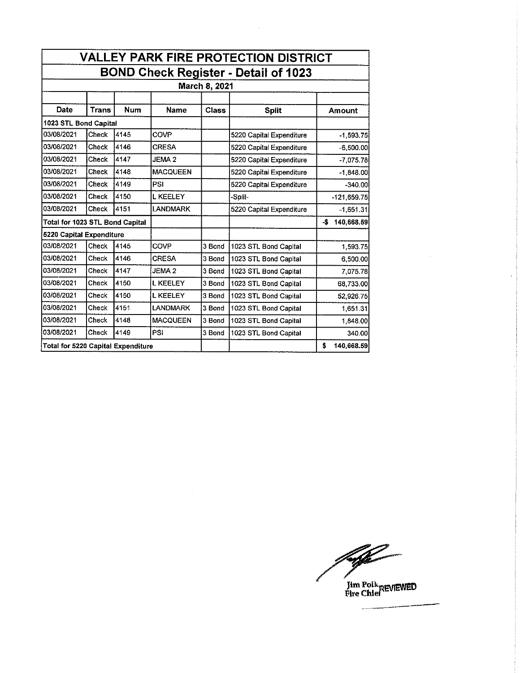| <b>VALLEY PARK FIRE PROTECTION DISTRICT</b> |              |            |                   |              |                          |                   |  |
|---------------------------------------------|--------------|------------|-------------------|--------------|--------------------------|-------------------|--|
| <b>BOND Check Register - Detail of 1023</b> |              |            |                   |              |                          |                   |  |
| March 8, 2021                               |              |            |                   |              |                          |                   |  |
|                                             |              |            |                   |              |                          |                   |  |
| <b>Date</b>                                 | <b>Trans</b> | <b>Num</b> | <b>Name</b>       | <b>Class</b> | <b>Split</b>             | Amount            |  |
| 1023 STL Bond Capital                       |              |            |                   |              |                          |                   |  |
| 03/08/2021                                  | Check        | 4145       | COVP              |              | 5220 Capital Expenditure | $-1,593,75$       |  |
| 03/08/2021                                  | Check        | 4146       | <b>CRESA</b>      |              | 5220 Capital Expenditure | $-6,500.00$       |  |
| 03/08/2021                                  | Check        | 4147       | <b>JEMA2</b>      |              | 5220 Capital Expenditure | -7.075.78         |  |
| 03/08/2021                                  | <b>Check</b> | 4148       | <b>MACQUEEN</b>   |              | 5220 Capital Expenditure | $-1,848.00$       |  |
| 03/08/2021                                  | Check        | 4149       | PSI               |              | 5220 Capital Expenditure | $-340.00$         |  |
| 03/08/2021                                  | Check        | 4150       | <b>L KEELEY</b>   |              | -Split-                  | $-121,659.75$     |  |
| 03/08/2021                                  | <b>Check</b> | 4151       | <b>LANDMARK</b>   |              | 5220 Capital Expenditure | $-1,651.31$       |  |
| Total for 1023 STL Bond Capital             |              |            |                   |              |                          | 140,668.59<br>-\$ |  |
| 5220 Capital Expenditure                    |              |            |                   |              |                          |                   |  |
| 03/08/2021                                  | Check        | 4145       | COVP              | 3 Bond       | 1023 STL Bond Capital    | 1,593.75          |  |
| 03/08/2021                                  | Check        | 4146       | CRESA             | 3 Bond       | 1023 STL Bond Capital    | 6,500.00          |  |
| 03/08/2021                                  | Check        | 4147       | JEMA <sub>2</sub> | 3 Bond       | 1023 STL Bond Capital    | 7,075.78          |  |
| 03/08/2021                                  | Check        | 4150       | <b>L KEELEY</b>   | 3 Bond       | 1023 STL Bond Capital    | 68,733.00         |  |
| 03/08/2021                                  | Check        | 4150       | <b>L KEELEY</b>   | 3 Bond       | 1023 STL Bond Capital    | 52,926.75         |  |
| 03/08/2021                                  | Check        | 4151       | <b>LANDMARK</b>   | 3 Bond       | 1023 STL Bond Capital    | 1,651.31          |  |
| 03/08/2021                                  | Check        | 4148       | <b>MACQUEEN</b>   | 3 Bond       | 1023 STL Bond Capital    | 1,848.00          |  |
| 03/08/2021                                  | Check        | 4149       | PSI               | 3 Bond       | 1023 STL Bond Capital    | 340.00            |  |
| Total for 5220 Capital Expenditure          |              |            |                   |              |                          | 140,668.59<br>\$  |  |

 $\mathcal{A}^{\mathcal{A}}$ 

 $\mathcal{A}^{\mathcal{A}}$ 

falle

Ilm Polk<br>Fire Chief REVIEWED

 $\sim$ 

J.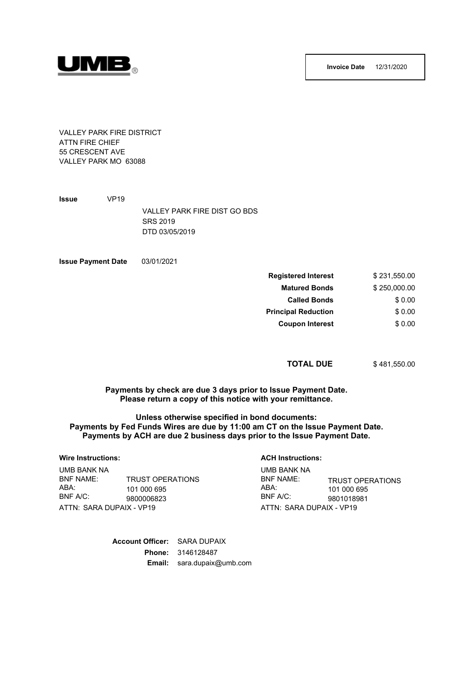



VALLEY PARK FIRE DISTRICT ATTN FIRE CHIEF 55 CRESCENT AVE VALLEY PARK MO 63088

**Issue** VP19 VALLEY PARK FIRE DIST GO BDS SRS 2019 DTD 03/05/2019

03/01/2021 **Issue Payment Date**

| <b>Registered Interest</b> | \$231,550.00 |
|----------------------------|--------------|
| <b>Matured Bonds</b>       | \$250,000.00 |
| <b>Called Bonds</b>        | \$0.00       |
| <b>Principal Reduction</b> | \$0.00       |
| <b>Coupon Interest</b>     | \$0.00       |

#### **TOTAL DUE** \$ 481,550.00

**Payments by check are due 3 days prior to Issue Payment Date. Please return a copy of this notice with your remittance.**

**Unless otherwise specified in bond documents: Payments by Fed Funds Wires are due by 11:00 am CT on the Issue Payment Date. Payments by ACH are due 2 business days prior to the Issue Payment Date.**

#### **Wire Instructions:**

BNF NAME:<br>ABA· UMB BANK NA

 $BNF A/C$ 

ATTN: SARA DUPAIX - VP19

#### **ACH Instructions:** UMB BANK NA

ATTN: SARA DUPAIX - VP19 101 000 695 ABA: ABA: TRUST OPERATIONS 101 000 695 9801018981 BNF NAME:<br>ABA· BNF A/C:

> **Account Officer:** SARA DUPAIX **Phone:** 3146128487 **Email:** sara.dupaix@umb.com

TRUST OPERATIONS

9800006823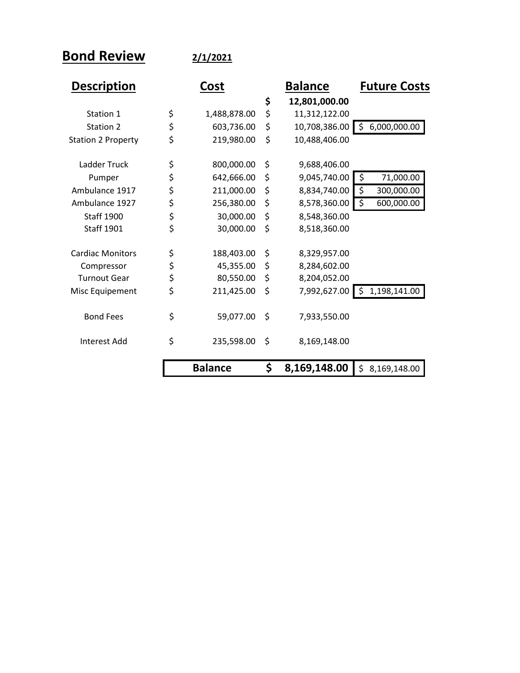**Bond Review 2/1/2021**

| <b>Description</b>        | Cost |                | <b>Balance</b> |               | <b>Future Costs</b> |
|---------------------------|------|----------------|----------------|---------------|---------------------|
|                           |      |                | \$             | 12,801,000.00 |                     |
| Station 1                 | \$   | 1,488,878.00   | \$             | 11,312,122.00 |                     |
| Station 2                 | \$   | 603,736.00     | \$             | 10,708,386.00 | 6,000,000.00<br>\$  |
| <b>Station 2 Property</b> | \$   | 219,980.00     | \$             | 10,488,406.00 |                     |
| Ladder Truck              | \$   | 800,000.00     | \$             | 9,688,406.00  |                     |
| Pumper                    | \$   | 642,666.00     | \$             | 9,045,740.00  | \$<br>71,000.00     |
| Ambulance 1917            | \$   | 211,000.00     | \$             | 8,834,740.00  | \$<br>300,000.00    |
| Ambulance 1927            | \$   | 256,380.00     | \$             | 8,578,360.00  | \$<br>600,000.00    |
| <b>Staff 1900</b>         | \$   | 30,000.00      | \$             | 8,548,360.00  |                     |
| <b>Staff 1901</b>         | \$   | 30,000.00      | \$             | 8,518,360.00  |                     |
| <b>Cardiac Monitors</b>   | \$   | 188,403.00     | \$             | 8,329,957.00  |                     |
| Compressor                | \$   | 45,355.00      | \$             | 8,284,602.00  |                     |
| <b>Turnout Gear</b>       | \$   | 80,550.00      | \$             | 8,204,052.00  |                     |
| Misc Equipement           | \$   | 211,425.00     | \$             | 7,992,627.00  | 1,198,141.00<br>\$  |
| <b>Bond Fees</b>          | \$   | 59,077.00      | \$             | 7,933,550.00  |                     |
| <b>Interest Add</b>       | \$   | 235,598.00     | \$             | 8,169,148.00  |                     |
|                           |      | <b>Balance</b> | \$             | 8,169,148.00  | \$<br>8,169,148.00  |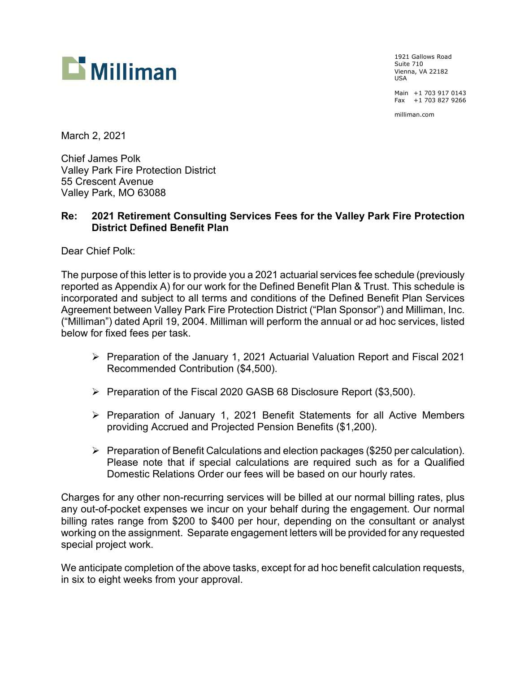

1921 Gallows Road Suite 710 Vienna, VA 22182 USA

Main +1 703 917 0143 Fax +1 703 827 9266

milliman.com

March 2, 2021

Chief James Polk Valley Park Fire Protection District 55 Crescent Avenue Valley Park, MO 63088

#### **Re: 2021 Retirement Consulting Services Fees for the Valley Park Fire Protection District Defined Benefit Plan**

Dear Chief Polk:

The purpose of this letter is to provide you a 2021 actuarial services fee schedule (previously reported as Appendix A) for our work for the Defined Benefit Plan & Trust. This schedule is incorporated and subject to all terms and conditions of the Defined Benefit Plan Services Agreement between Valley Park Fire Protection District ("Plan Sponsor") and Milliman, Inc. ("Milliman") dated April 19, 2004. Milliman will perform the annual or ad hoc services, listed below for fixed fees per task.

- Preparation of the January 1, 2021 Actuarial Valuation Report and Fiscal 2021 Recommended Contribution (\$4,500).
- ▶ Preparation of the Fiscal 2020 GASB 68 Disclosure Report (\$3,500).
- $\triangleright$  Preparation of January 1, 2021 Benefit Statements for all Active Members providing Accrued and Projected Pension Benefits (\$1,200).
- $\triangleright$  Preparation of Benefit Calculations and election packages (\$250 per calculation). Please note that if special calculations are required such as for a Qualified Domestic Relations Order our fees will be based on our hourly rates.

Charges for any other non-recurring services will be billed at our normal billing rates, plus any out-of-pocket expenses we incur on your behalf during the engagement. Our normal billing rates range from \$200 to \$400 per hour, depending on the consultant or analyst working on the assignment. Separate engagement letters will be provided for any requested special project work.

We anticipate completion of the above tasks, except for ad hoc benefit calculation requests, in six to eight weeks from your approval.